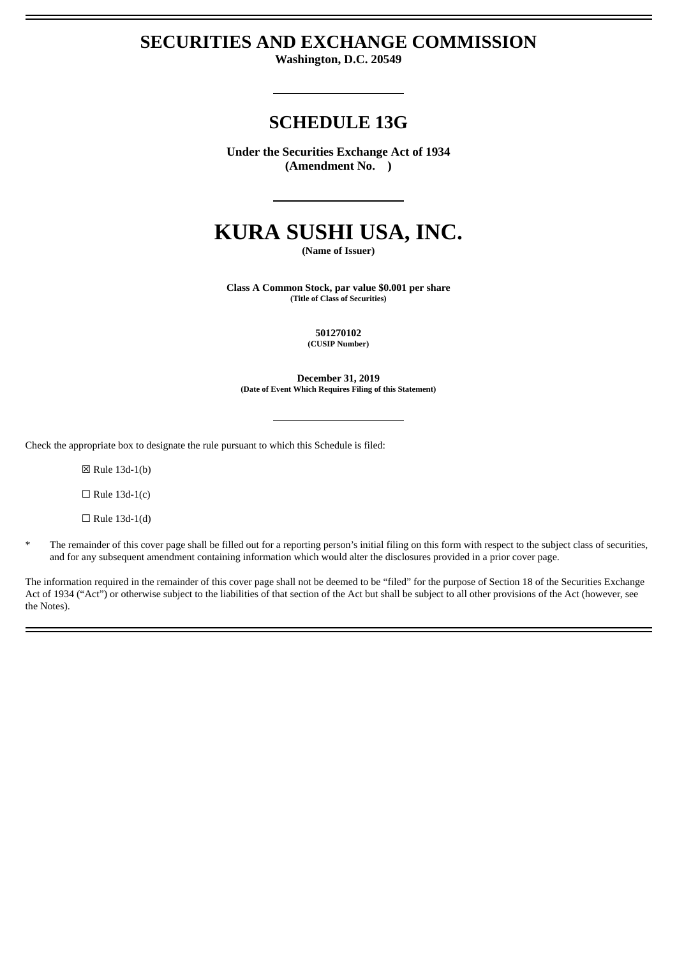## **SECURITIES AND EXCHANGE COMMISSION**

**Washington, D.C. 20549**

# **SCHEDULE 13G**

**Under the Securities Exchange Act of 1934 (Amendment No. )**

# **KURA SUSHI USA, INC.**

**(Name of Issuer)**

**Class A Common Stock, par value \$0.001 per share (Title of Class of Securities)**

> **501270102 (CUSIP Number)**

**December 31, 2019 (Date of Event Which Requires Filing of this Statement)**

Check the appropriate box to designate the rule pursuant to which this Schedule is filed:

☒ Rule 13d-1(b)

 $\Box$  Rule 13d-1(c)

 $\Box$  Rule 13d-1(d)

\* The remainder of this cover page shall be filled out for a reporting person's initial filing on this form with respect to the subject class of securities, and for any subsequent amendment containing information which would alter the disclosures provided in a prior cover page.

The information required in the remainder of this cover page shall not be deemed to be "filed" for the purpose of Section 18 of the Securities Exchange Act of 1934 ("Act") or otherwise subject to the liabilities of that section of the Act but shall be subject to all other provisions of the Act (however, see the Notes).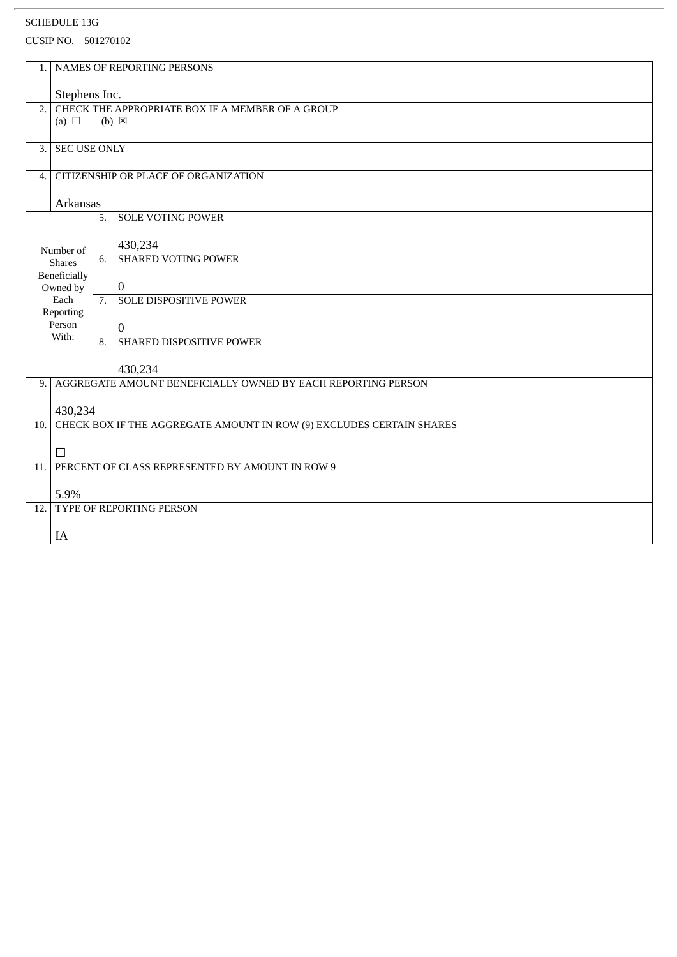| 1.                                                                   |                              |                  | NAMES OF REPORTING PERSONS                                           |  |
|----------------------------------------------------------------------|------------------------------|------------------|----------------------------------------------------------------------|--|
|                                                                      |                              |                  |                                                                      |  |
|                                                                      | Stephens Inc.                |                  |                                                                      |  |
| CHECK THE APPROPRIATE BOX IF A MEMBER OF A GROUP<br>$\overline{2}$ . |                              |                  |                                                                      |  |
|                                                                      | (a) $\Box$                   |                  | $(b) \boxtimes$                                                      |  |
|                                                                      |                              |                  |                                                                      |  |
| 3.1                                                                  | <b>SEC USE ONLY</b>          |                  |                                                                      |  |
|                                                                      |                              |                  |                                                                      |  |
| 4.                                                                   |                              |                  | CITIZENSHIP OR PLACE OF ORGANIZATION                                 |  |
|                                                                      |                              |                  |                                                                      |  |
|                                                                      | <b>Arkansas</b>              |                  |                                                                      |  |
|                                                                      |                              | 5.               | <b>SOLE VOTING POWER</b>                                             |  |
|                                                                      |                              |                  |                                                                      |  |
|                                                                      | Number of                    |                  | 430,234                                                              |  |
|                                                                      | <b>Shares</b>                | 6.               | <b>SHARED VOTING POWER</b>                                           |  |
|                                                                      | <b>Beneficially</b>          |                  |                                                                      |  |
|                                                                      | Owned by<br>Each             | 7.               | $\bf{0}$<br><b>SOLE DISPOSITIVE POWER</b>                            |  |
|                                                                      | Reporting                    |                  |                                                                      |  |
|                                                                      | Person                       |                  | $\theta$                                                             |  |
|                                                                      | With:                        | $\overline{8}$ . | SHARED DISPOSITIVE POWER                                             |  |
|                                                                      |                              |                  |                                                                      |  |
|                                                                      |                              |                  | 430,234                                                              |  |
| 9.1                                                                  |                              |                  | AGGREGATE AMOUNT BENEFICIALLY OWNED BY EACH REPORTING PERSON         |  |
|                                                                      |                              |                  |                                                                      |  |
|                                                                      | 430,234                      |                  |                                                                      |  |
| 10.                                                                  |                              |                  | CHECK BOX IF THE AGGREGATE AMOUNT IN ROW (9) EXCLUDES CERTAIN SHARES |  |
|                                                                      |                              |                  |                                                                      |  |
|                                                                      | □                            |                  |                                                                      |  |
| 11.                                                                  |                              |                  | PERCENT OF CLASS REPRESENTED BY AMOUNT IN ROW 9                      |  |
|                                                                      |                              |                  |                                                                      |  |
| 5.9%                                                                 |                              |                  |                                                                      |  |
|                                                                      | 12. TYPE OF REPORTING PERSON |                  |                                                                      |  |
|                                                                      |                              |                  |                                                                      |  |
|                                                                      | IA                           |                  |                                                                      |  |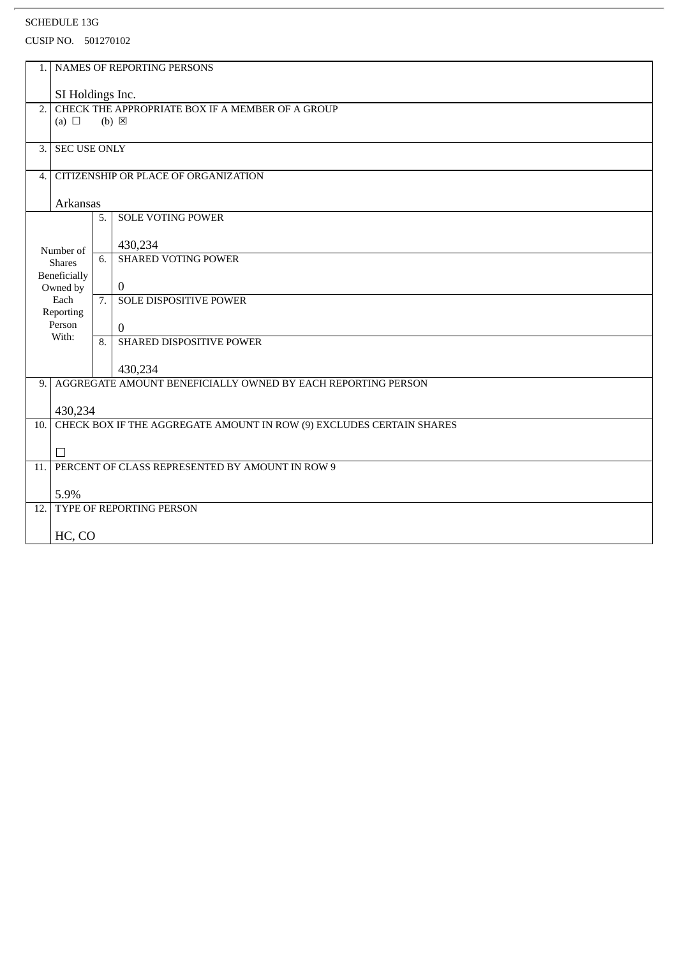| 1.               | NAMES OF REPORTING PERSONS                                          |                |                                                                      |  |  |
|------------------|---------------------------------------------------------------------|----------------|----------------------------------------------------------------------|--|--|
|                  | SI Holdings Inc.                                                    |                |                                                                      |  |  |
| 2.               | CHECK THE APPROPRIATE BOX IF A MEMBER OF A GROUP<br>$(b) \boxtimes$ |                |                                                                      |  |  |
|                  | (a) $\Box$                                                          |                |                                                                      |  |  |
| 3.               | <b>SEC USE ONLY</b>                                                 |                |                                                                      |  |  |
| $\overline{4}$ . | CITIZENSHIP OR PLACE OF ORGANIZATION                                |                |                                                                      |  |  |
| <b>Arkansas</b>  |                                                                     |                |                                                                      |  |  |
|                  |                                                                     | 5.             | <b>SOLE VOTING POWER</b>                                             |  |  |
|                  | Number of<br><b>Shares</b>                                          |                | 430,234                                                              |  |  |
|                  |                                                                     | 6.             | <b>SHARED VOTING POWER</b>                                           |  |  |
|                  | Beneficially<br>Owned by                                            |                | $\bf{0}$                                                             |  |  |
|                  | Each<br>Reporting                                                   | 7.             | <b>SOLE DISPOSITIVE POWER</b>                                        |  |  |
|                  | Person<br>With:                                                     |                | $\theta$                                                             |  |  |
|                  |                                                                     | $\overline{8}$ | SHARED DISPOSITIVE POWER                                             |  |  |
|                  |                                                                     |                | 430,234                                                              |  |  |
| 9.               |                                                                     |                | AGGREGATE AMOUNT BENEFICIALLY OWNED BY EACH REPORTING PERSON         |  |  |
|                  | 430,234                                                             |                |                                                                      |  |  |
| 10.              |                                                                     |                | CHECK BOX IF THE AGGREGATE AMOUNT IN ROW (9) EXCLUDES CERTAIN SHARES |  |  |
|                  | П                                                                   |                |                                                                      |  |  |
| 11.              |                                                                     |                | PERCENT OF CLASS REPRESENTED BY AMOUNT IN ROW 9                      |  |  |
|                  |                                                                     |                |                                                                      |  |  |
|                  | <b>TYPE OF REPORTING PERSON</b><br>12.                              |                |                                                                      |  |  |
|                  | HC, CO                                                              |                |                                                                      |  |  |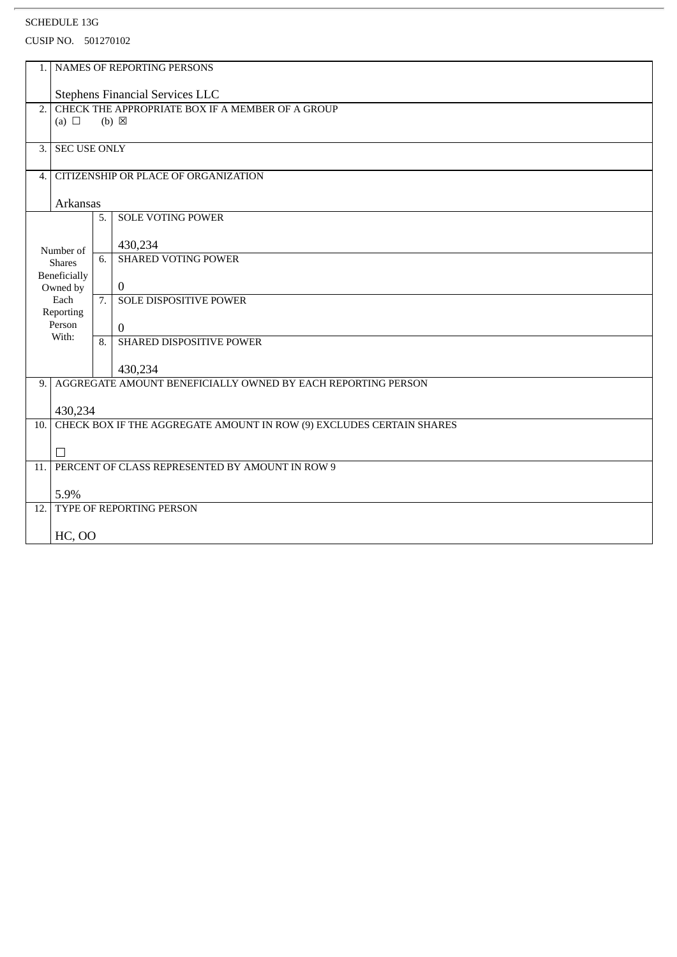| 1.                                         | NAMES OF REPORTING PERSONS                                   |                  |                                                                      |
|--------------------------------------------|--------------------------------------------------------------|------------------|----------------------------------------------------------------------|
|                                            | Stephens Financial Services LLC                              |                  |                                                                      |
| 2.                                         | (a) $\Box$                                                   |                  | CHECK THE APPROPRIATE BOX IF A MEMBER OF A GROUP<br>$(b) \boxtimes$  |
|                                            |                                                              |                  |                                                                      |
| 3.                                         | <b>SEC USE ONLY</b>                                          |                  |                                                                      |
| CITIZENSHIP OR PLACE OF ORGANIZATION<br>4. |                                                              |                  |                                                                      |
| <b>Arkansas</b>                            |                                                              |                  |                                                                      |
|                                            |                                                              | 5.               | <b>SOLE VOTING POWER</b>                                             |
|                                            | Number of                                                    |                  | 430,234                                                              |
|                                            | <b>Shares</b>                                                | 6.               | <b>SHARED VOTING POWER</b>                                           |
|                                            | <b>Beneficially</b><br>Owned by                              |                  | $\bf{0}$                                                             |
|                                            | Each<br>Reporting                                            | $\overline{7}$ . | <b>SOLE DISPOSITIVE POWER</b>                                        |
|                                            | Person<br>With:                                              |                  | $\mathbf{0}$                                                         |
|                                            |                                                              | $\overline{8}$ . | SHARED DISPOSITIVE POWER                                             |
|                                            |                                                              |                  | 430,234                                                              |
| 9.                                         | AGGREGATE AMOUNT BENEFICIALLY OWNED BY EACH REPORTING PERSON |                  |                                                                      |
|                                            | 430,234                                                      |                  |                                                                      |
| 10.                                        |                                                              |                  | CHECK BOX IF THE AGGREGATE AMOUNT IN ROW (9) EXCLUDES CERTAIN SHARES |
|                                            | П                                                            |                  |                                                                      |
| 11.                                        |                                                              |                  | PERCENT OF CLASS REPRESENTED BY AMOUNT IN ROW 9                      |
|                                            | 5.9%                                                         |                  |                                                                      |
| 12.                                        | TYPE OF REPORTING PERSON                                     |                  |                                                                      |
|                                            | <b>HC, OO</b>                                                |                  |                                                                      |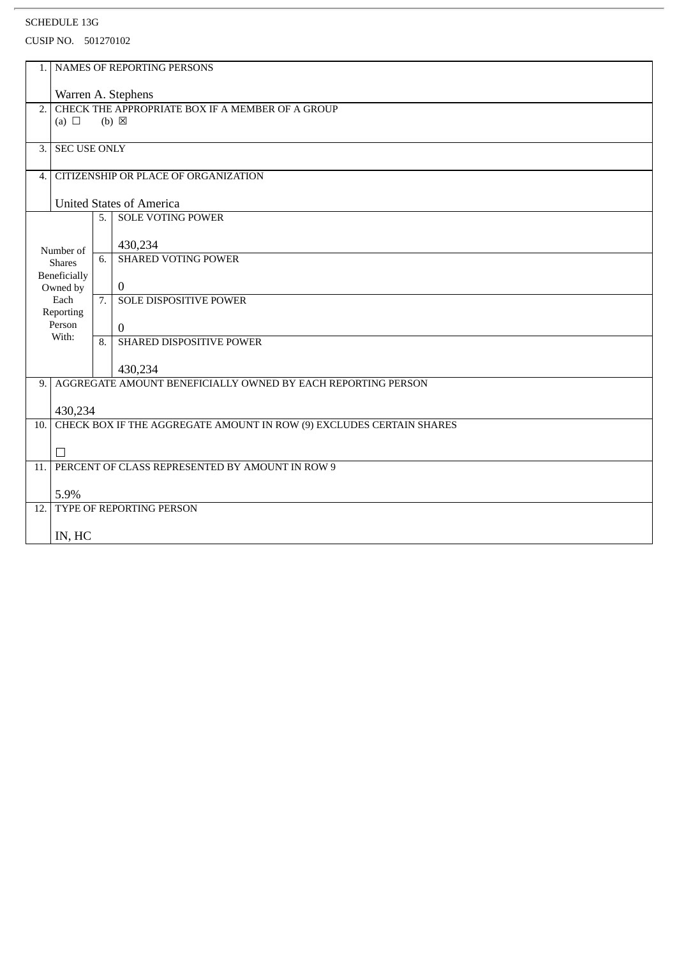| 1.                                                                                      | NAMES OF REPORTING PERSONS                                           |                  |                                                              |  |  |
|-----------------------------------------------------------------------------------------|----------------------------------------------------------------------|------------------|--------------------------------------------------------------|--|--|
|                                                                                         | Warren A. Stephens                                                   |                  |                                                              |  |  |
| CHECK THE APPROPRIATE BOX IF A MEMBER OF A GROUP<br>2.<br>(a) $\Box$<br>$(b) \boxtimes$ |                                                                      |                  |                                                              |  |  |
|                                                                                         |                                                                      |                  |                                                              |  |  |
| 3.                                                                                      | <b>SEC USE ONLY</b>                                                  |                  |                                                              |  |  |
| CITIZENSHIP OR PLACE OF ORGANIZATION<br>$\overline{4}$ .                                |                                                                      |                  |                                                              |  |  |
| <b>United States of America</b>                                                         |                                                                      |                  |                                                              |  |  |
|                                                                                         |                                                                      | 5.               | <b>SOLE VOTING POWER</b>                                     |  |  |
|                                                                                         | Number of                                                            |                  | 430,234                                                      |  |  |
|                                                                                         | <b>Shares</b>                                                        | 6.               | <b>SHARED VOTING POWER</b>                                   |  |  |
|                                                                                         | <b>Beneficially</b><br>Owned by                                      |                  | $\mathbf{0}$                                                 |  |  |
|                                                                                         | Each<br>Reporting                                                    | 7.               | SOLE DISPOSITIVE POWER                                       |  |  |
|                                                                                         | Person<br>With:                                                      |                  | $\mathbf{0}$                                                 |  |  |
|                                                                                         |                                                                      | $\overline{8}$ . | SHARED DISPOSITIVE POWER                                     |  |  |
|                                                                                         |                                                                      |                  | 430,234                                                      |  |  |
| 9.                                                                                      |                                                                      |                  | AGGREGATE AMOUNT BENEFICIALLY OWNED BY EACH REPORTING PERSON |  |  |
|                                                                                         | 430,234                                                              |                  |                                                              |  |  |
| 10.                                                                                     | CHECK BOX IF THE AGGREGATE AMOUNT IN ROW (9) EXCLUDES CERTAIN SHARES |                  |                                                              |  |  |
|                                                                                         | □                                                                    |                  |                                                              |  |  |
| 11.                                                                                     | PERCENT OF CLASS REPRESENTED BY AMOUNT IN ROW 9                      |                  |                                                              |  |  |
| 5.9%                                                                                    |                                                                      |                  |                                                              |  |  |
| 12.                                                                                     | <b>TYPE OF REPORTING PERSON</b>                                      |                  |                                                              |  |  |
|                                                                                         | IN, HC                                                               |                  |                                                              |  |  |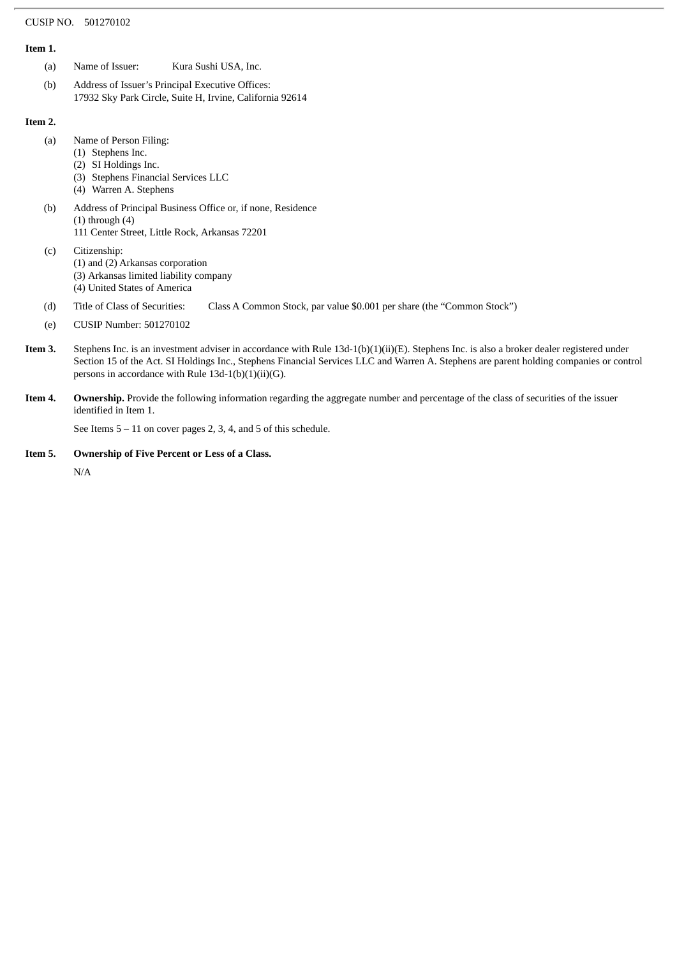## CUSIP NO. 501270102

## **Item 1.**

- (a) Name of Issuer: Kura Sushi USA, Inc.
- (b) Address of Issuer's Principal Executive Offices: 17932 Sky Park Circle, Suite H, Irvine, California 92614

## **Item 2.**

- (a) Name of Person Filing:
	- (1) Stephens Inc.
	- (2) SI Holdings Inc.
	- (3) Stephens Financial Services LLC
	- (4) Warren A. Stephens
- (b) Address of Principal Business Office or, if none, Residence  $(1)$  through  $(4)$ 
	- 111 Center Street, Little Rock, Arkansas 72201
- (c) Citizenship: (1) and (2) Arkansas corporation (3) Arkansas limited liability company (4) United States of America
- (d) Title of Class of Securities: Class A Common Stock, par value \$0.001 per share (the "Common Stock")
- (e) CUSIP Number: 501270102
- **Item 3.** Stephens Inc. is an investment adviser in accordance with Rule 13d-1(b)(1)(ii)(E). Stephens Inc. is also a broker dealer registered under Section 15 of the Act. SI Holdings Inc., Stephens Financial Services LLC and Warren A. Stephens are parent holding companies or control persons in accordance with Rule 13d-1(b)(1)(ii)(G).
- **Item 4. Ownership.** Provide the following information regarding the aggregate number and percentage of the class of securities of the issuer identified in Item 1.

See Items 5 – 11 on cover pages 2, 3, 4, and 5 of this schedule.

**Item 5. Ownership of Five Percent or Less of a Class.**

N/A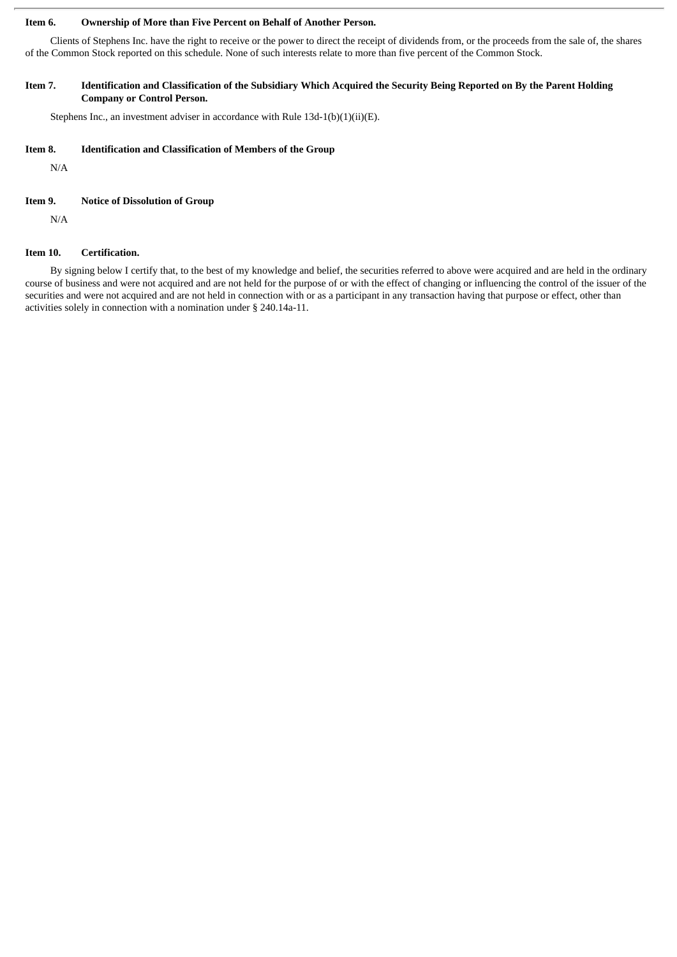## **Item 6. Ownership of More than Five Percent on Behalf of Another Person.**

Clients of Stephens Inc. have the right to receive or the power to direct the receipt of dividends from, or the proceeds from the sale of, the shares of the Common Stock reported on this schedule. None of such interests relate to more than five percent of the Common Stock.

### Item 7. Identification and Classification of the Subsidiary Which Acquired the Security Being Reported on By the Parent Holding **Company or Control Person.**

Stephens Inc., an investment adviser in accordance with Rule 13d-1(b)(1)(ii)(E).

## **Item 8. Identification and Classification of Members of the Group**

N/A

#### **Item 9. Notice of Dissolution of Group**

N/A

## **Item 10. Certification.**

By signing below I certify that, to the best of my knowledge and belief, the securities referred to above were acquired and are held in the ordinary course of business and were not acquired and are not held for the purpose of or with the effect of changing or influencing the control of the issuer of the securities and were not acquired and are not held in connection with or as a participant in any transaction having that purpose or effect, other than activities solely in connection with a nomination under § 240.14a-11.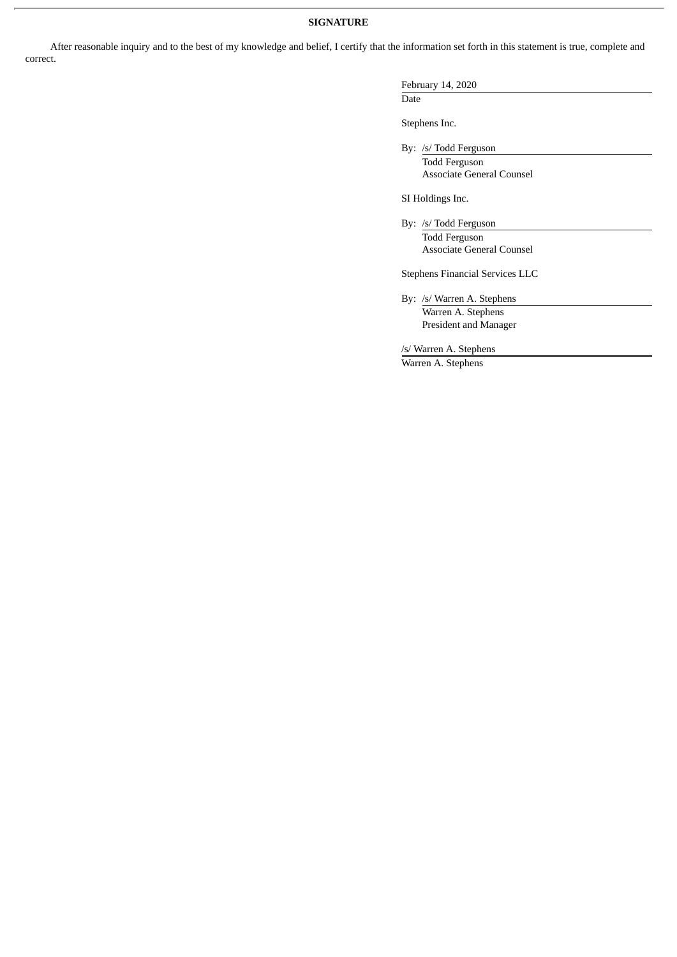### **SIGNATURE**

After reasonable inquiry and to the best of my knowledge and belief, I certify that the information set forth in this statement is true, complete and correct.

## February 14, 2020

Date

Stephens Inc.

By: /s/ Todd Ferguson Todd Ferguson

Associate General Counsel

SI Holdings Inc.

By: /s/ Todd Ferguson Todd Ferguson Associate General Counsel

Stephens Financial Services LLC

By: /s/ Warren A. Stephens Warren A. Stephens President and Manager

/s/ Warren A. Stephens

Warren A. Stephens